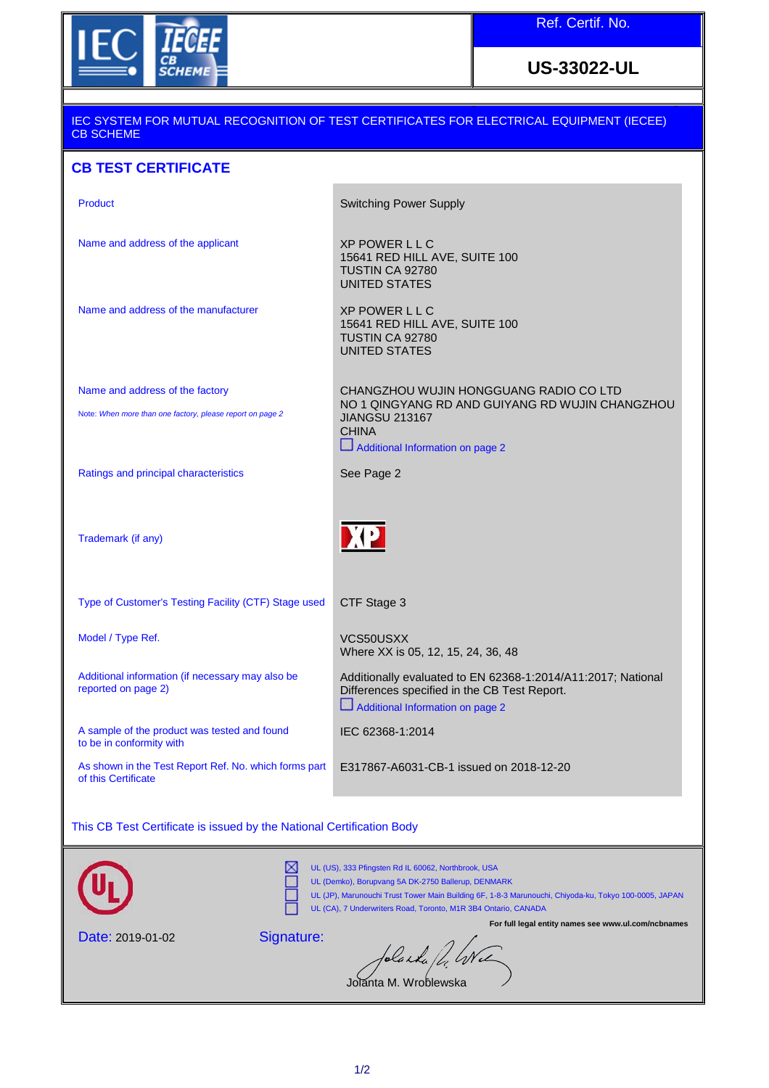

## **US-33022-UL**

## IEC SYSTEM FOR MUTUAL RECOGNITION OF TEST CERTIFICATES FOR ELECTRICAL EQUIPMENT (IECEE) CB SCHEME **CB TEST CERTIFICATE**  Product **Switching Power Supply** Name and address of the applicant XP POWER L L C 15641 RED HILL AVE, SUITE 100 TUSTIN CA 92780 UNITED STATES Name and address of the manufacturer XP POWER L L C 15641 RED HILL AVE, SUITE 100 TUSTIN CA 92780 UNITED STATES Name and address of the factory CHANGZHOU WUJIN HONGGUANG RADIO CO LTD NO 1 QINGYANG RD AND GUIYANG RD WUJIN CHANGZHOU Note: *When more than one factory, please report on page 2* JIANGSU 213167 CHINA Additional Information on page 2 Ratings and principal characteristics See Page 2 XP Trademark (if any) Type of Customer's Testing Facility (CTF) Stage used CTF Stage 3 Model / Type Ref. The Model of the MCS50USXX Where XX is 05, 12, 15, 24, 36, 48 Additional information (if necessary may also be Additionally evaluated to EN 62368-1:2014/A11:2017; National reported on page 2) Differences specified in the CB Test Report. Additional Information on page 2 A sample of the product was tested and found IEC 62368-1:2014 to be in conformity with As shown in the Test Report Ref. No. which forms part E317867-A6031-CB-1 issued on 2018-12-20 of this Certificate This CB Test Certificate is issued by the National Certification Body UL (US), 333 Pfingsten Rd IL 60062, Northbrook, USA UL (Demko), Borupvang 5A DK-2750 Ballerup, DENMARK UL (JP), Marunouchi Trust Tower Main Building 6F, 1-8-3 Marunouchi, Chiyoda-ku, Tokyo 100-0005, JAPAN UL (CA), 7 Underwriters Road, Toronto, M1R 3B4 Ontario, CANADA **For full legal entity names see www.ul.com/ncbnames** Signature: Date: 2019-01-02 blanka fd, We Jolanta M. Wroblewska